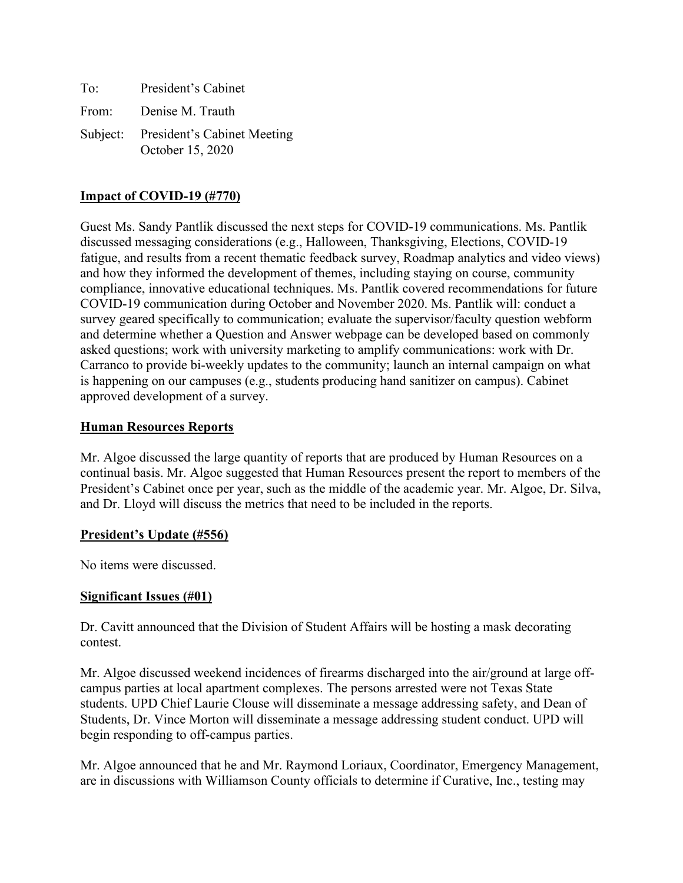| To: | President's Cabinet                                      |
|-----|----------------------------------------------------------|
|     | From: Denise M. Trauth                                   |
|     | Subject: President's Cabinet Meeting<br>October 15, 2020 |

## **Impact of COVID-19 (#770)**

Guest Ms. Sandy Pantlik discussed the next steps for COVID-19 communications. Ms. Pantlik discussed messaging considerations (e.g., Halloween, Thanksgiving, Elections, COVID-19 fatigue, and results from a recent thematic feedback survey, Roadmap analytics and video views) and how they informed the development of themes, including staying on course, community compliance, innovative educational techniques. Ms. Pantlik covered recommendations for future COVID-19 communication during October and November 2020. Ms. Pantlik will: conduct a survey geared specifically to communication; evaluate the supervisor/faculty question webform and determine whether a Question and Answer webpage can be developed based on commonly asked questions; work with university marketing to amplify communications: work with Dr. Carranco to provide bi-weekly updates to the community; launch an internal campaign on what is happening on our campuses (e.g., students producing hand sanitizer on campus). Cabinet approved development of a survey.

### **Human Resources Reports**

Mr. Algoe discussed the large quantity of reports that are produced by Human Resources on a continual basis. Mr. Algoe suggested that Human Resources present the report to members of the President's Cabinet once per year, such as the middle of the academic year. Mr. Algoe, Dr. Silva, and Dr. Lloyd will discuss the metrics that need to be included in the reports.

### **President's Update (#556)**

No items were discussed.

### **Significant Issues (#01)**

Dr. Cavitt announced that the Division of Student Affairs will be hosting a mask decorating contest.

Mr. Algoe discussed weekend incidences of firearms discharged into the air/ground at large offcampus parties at local apartment complexes. The persons arrested were not Texas State students. UPD Chief Laurie Clouse will disseminate a message addressing safety, and Dean of Students, Dr. Vince Morton will disseminate a message addressing student conduct. UPD will begin responding to off-campus parties.

Mr. Algoe announced that he and Mr. Raymond Loriaux, Coordinator, Emergency Management, are in discussions with Williamson County officials to determine if Curative, Inc., testing may